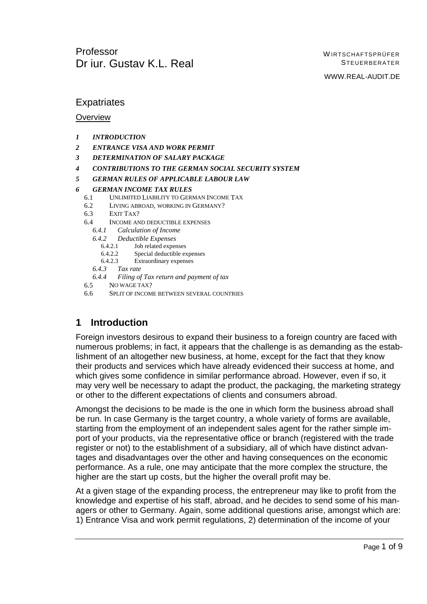WWW.REAL-AUDIT.DE

## **Expatriates**

#### **Overview**

- *1 INTRODUCTION*
- *2 ENTRANCE VISA AND WORK PERMIT*
- *3 DETERMINATION OF SALARY PACKAGE*
- *4 CONTRIBUTIONS TO THE GERMAN SOCIAL SECURITY SYSTEM*
- *5 GERMAN RULES OF APPLICABLE LABOUR LAW*
- *6 GERMAN INCOME TAX RULES*
	- 6.1 UNLIMITED LIABILITY TO GERMAN INCOME TAX
	- 6.2 LIVING ABROAD, WORKING IN GERMANY?
	- 6.3 EXIT TAX?
	- 6.4 INCOME AND DEDUCTIBLE EXPENSES
		- *6.4.1 Calculation of Income*
		- *6.4.2 Deductible Expenses*
			- 6.4.2.1 Job related expenses
			- 6.4.2.2 Special deductible expenses
			- 6.4.2.3 Extraordinary expenses
		- *6.4.3 Tax rate*
		- *6.4.4 Filing of Tax return and payment of tax*
	- 6.5 NO WAGE TAX?
	- 6.6 SPLIT OF INCOME BETWEEN SEVERAL COUNTRIES

## **1 Introduction**

Foreign investors desirous to expand their business to a foreign country are faced with numerous problems; in fact, it appears that the challenge is as demanding as the establishment of an altogether new business, at home, except for the fact that they know their products and services which have already evidenced their success at home, and which gives some confidence in similar performance abroad. However, even if so, it may very well be necessary to adapt the product, the packaging, the marketing strategy or other to the different expectations of clients and consumers abroad.

Amongst the decisions to be made is the one in which form the business abroad shall be run. In case Germany is the target country, a whole variety of forms are available, starting from the employment of an independent sales agent for the rather simple import of your products, via the representative office or branch (registered with the trade register or not) to the establishment of a subsidiary, all of which have distinct advantages and disadvantages over the other and having consequences on the economic performance. As a rule, one may anticipate that the more complex the structure, the higher are the start up costs, but the higher the overall profit may be.

At a given stage of the expanding process, the entrepreneur may like to profit from the knowledge and expertise of his staff, abroad, and he decides to send some of his managers or other to Germany. Again, some additional questions arise, amongst which are: 1) Entrance Visa and work permit regulations, 2) determination of the income of your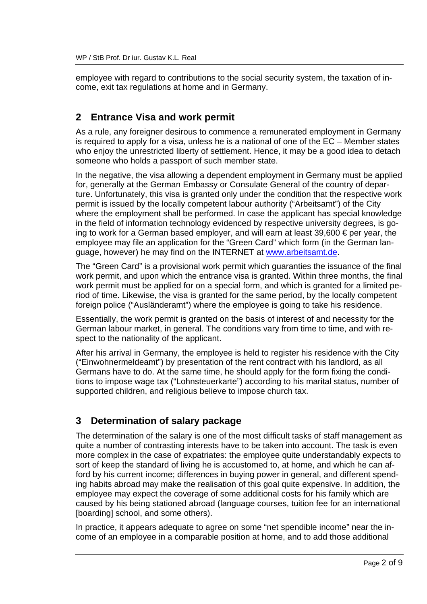employee with regard to contributions to the social security system, the taxation of income, exit tax regulations at home and in Germany.

# **2 Entrance Visa and work permit**

As a rule, any foreigner desirous to commence a remunerated employment in Germany is required to apply for a visa, unless he is a national of one of the EC – Member states who enjoy the unrestricted liberty of settlement. Hence, it may be a good idea to detach someone who holds a passport of such member state.

In the negative, the visa allowing a dependent employment in Germany must be applied for, generally at the German Embassy or Consulate General of the country of departure. Unfortunately, this visa is granted only under the condition that the respective work permit is issued by the locally competent labour authority ("Arbeitsamt") of the City where the employment shall be performed. In case the applicant has special knowledge in the field of information technology evidenced by respective university degrees, is going to work for a German based employer, and will earn at least 39,600 € per year, the employee may file an application for the "Green Card" which form (in the German language, however) he may find on the INTERNET at www.arbeitsamt.de.

The "Green Card" is a provisional work permit which guaranties the issuance of the final work permit, and upon which the entrance visa is granted. Within three months, the final work permit must be applied for on a special form, and which is granted for a limited period of time. Likewise, the visa is granted for the same period, by the locally competent foreign police ("Ausländeramt") where the employee is going to take his residence.

Essentially, the work permit is granted on the basis of interest of and necessity for the German labour market, in general. The conditions vary from time to time, and with respect to the nationality of the applicant.

After his arrival in Germany, the employee is held to register his residence with the City ("Einwohnermeldeamt") by presentation of the rent contract with his landlord, as all Germans have to do. At the same time, he should apply for the form fixing the conditions to impose wage tax ("Lohnsteuerkarte") according to his marital status, number of supported children, and religious believe to impose church tax.

# **3 Determination of salary package**

The determination of the salary is one of the most difficult tasks of staff management as quite a number of contrasting interests have to be taken into account. The task is even more complex in the case of expatriates: the employee quite understandably expects to sort of keep the standard of living he is accustomed to, at home, and which he can afford by his current income; differences in buying power in general, and different spending habits abroad may make the realisation of this goal quite expensive. In addition, the employee may expect the coverage of some additional costs for his family which are caused by his being stationed abroad (language courses, tuition fee for an international [boarding] school, and some others).

In practice, it appears adequate to agree on some "net spendible income" near the income of an employee in a comparable position at home, and to add those additional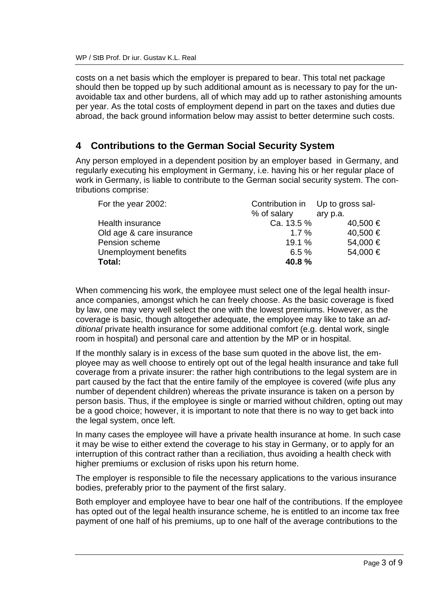costs on a net basis which the employer is prepared to bear. This total net package should then be topped up by such additional amount as is necessary to pay for the unavoidable tax and other burdens, all of which may add up to rather astonishing amounts per year. As the total costs of employment depend in part on the taxes and duties due abroad, the back ground information below may assist to better determine such costs.

## **4 Contributions to the German Social Security System**

Any person employed in a dependent position by an employer based in Germany, and regularly executing his employment in Germany, i.e. having his or her regular place of work in Germany, is liable to contribute to the German social security system. The contributions comprise:

|             | Contribution in Up to gross sal- |  |
|-------------|----------------------------------|--|
| % of salary | ary p.a.                         |  |
| Ca. 13.5 %  | 40,500 €                         |  |
| $1.7\%$     | 40,500 €                         |  |
| 19.1%       | 54,000 €                         |  |
| 6.5%        | 54,000 €                         |  |
| 40.8%       |                                  |  |
|             |                                  |  |

When commencing his work, the employee must select one of the legal health insurance companies, amongst which he can freely choose. As the basic coverage is fixed by law, one may very well select the one with the lowest premiums. However, as the coverage is basic, though altogether adequate, the employee may like to take an *additional* private health insurance for some additional comfort (e.g. dental work, single room in hospital) and personal care and attention by the MP or in hospital.

If the monthly salary is in excess of the base sum quoted in the above list, the employee may as well choose to entirely opt out of the legal health insurance and take full coverage from a private insurer: the rather high contributions to the legal system are in part caused by the fact that the entire family of the employee is covered (wife plus any number of dependent children) whereas the private insurance is taken on a person by person basis. Thus, if the employee is single or married without children, opting out may be a good choice; however, it is important to note that there is no way to get back into the legal system, once left.

In many cases the employee will have a private health insurance at home. In such case it may be wise to either extend the coverage to his stay in Germany, or to apply for an interruption of this contract rather than a reciliation, thus avoiding a health check with higher premiums or exclusion of risks upon his return home.

The employer is responsible to file the necessary applications to the various insurance bodies, preferably prior to the payment of the first salary.

Both employer and employee have to bear one half of the contributions. If the employee has opted out of the legal health insurance scheme, he is entitled to an income tax free payment of one half of his premiums, up to one half of the average contributions to the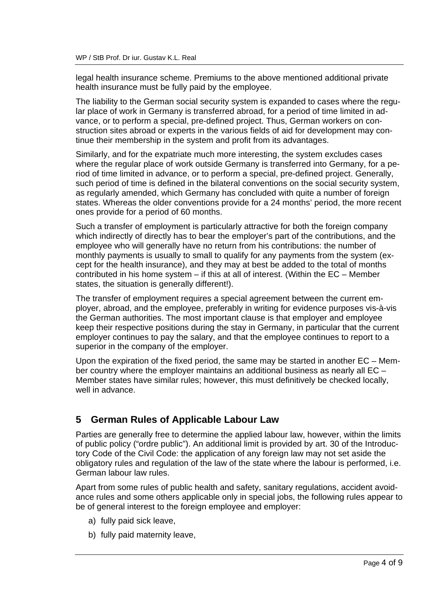legal health insurance scheme. Premiums to the above mentioned additional private health insurance must be fully paid by the employee.

The liability to the German social security system is expanded to cases where the regular place of work in Germany is transferred abroad, for a period of time limited in advance, or to perform a special, pre-defined project. Thus, German workers on construction sites abroad or experts in the various fields of aid for development may continue their membership in the system and profit from its advantages.

Similarly, and for the expatriate much more interesting, the system excludes cases where the regular place of work outside Germany is transferred into Germany, for a period of time limited in advance, or to perform a special, pre-defined project. Generally, such period of time is defined in the bilateral conventions on the social security system, as regularly amended, which Germany has concluded with quite a number of foreign states. Whereas the older conventions provide for a 24 months' period, the more recent ones provide for a period of 60 months.

Such a transfer of employment is particularly attractive for both the foreign company which indirectly of directly has to bear the employer's part of the contributions, and the employee who will generally have no return from his contributions: the number of monthly payments is usually to small to qualify for any payments from the system (except for the health insurance), and they may at best be added to the total of months contributed in his home system – if this at all of interest. (Within the EC – Member states, the situation is generally different!).

The transfer of employment requires a special agreement between the current employer, abroad, and the employee, preferably in writing for evidence purposes vis-à-vis the German authorities. The most important clause is that employer and employee keep their respective positions during the stay in Germany, in particular that the current employer continues to pay the salary, and that the employee continues to report to a superior in the company of the employer.

Upon the expiration of the fixed period, the same may be started in another EC – Member country where the employer maintains an additional business as nearly all EC – Member states have similar rules; however, this must definitively be checked locally, well in advance.

# **5 German Rules of Applicable Labour Law**

Parties are generally free to determine the applied labour law, however, within the limits of public policy ("ordre public"). An additional limit is provided by art. 30 of the Introductory Code of the Civil Code: the application of any foreign law may not set aside the obligatory rules and regulation of the law of the state where the labour is performed, i.e. German labour law rules.

Apart from some rules of public health and safety, sanitary regulations, accident avoidance rules and some others applicable only in special jobs, the following rules appear to be of general interest to the foreign employee and employer:

- a) fully paid sick leave,
- b) fully paid maternity leave,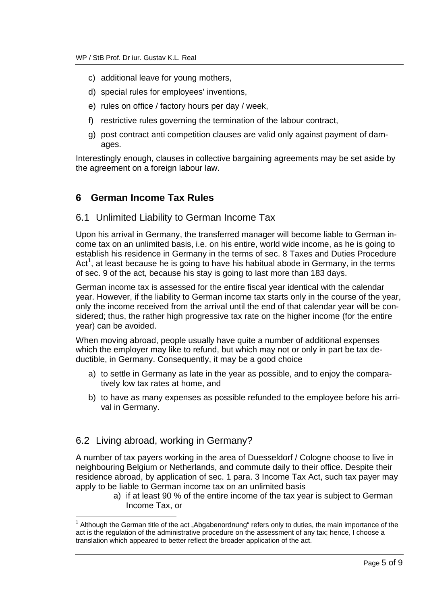- c) additional leave for young mothers,
- d) special rules for employees' inventions,
- e) rules on office / factory hours per day / week,
- f) restrictive rules governing the termination of the labour contract,
- g) post contract anti competition clauses are valid only against payment of damages.

Interestingly enough, clauses in collective bargaining agreements may be set aside by the agreement on a foreign labour law.

## **6 German Income Tax Rules**

### 6.1 Unlimited Liability to German Income Tax

Upon his arrival in Germany, the transferred manager will become liable to German income tax on an unlimited basis, i.e. on his entire, world wide income, as he is going to establish his residence in Germany in the terms of sec. 8 Taxes and Duties Procedure Act<sup>1</sup>, at least because he is going to have his habitual abode in Germany, in the terms of sec. 9 of the act, because his stay is going to last more than 183 days.

German income tax is assessed for the entire fiscal year identical with the calendar year. However, if the liability to German income tax starts only in the course of the year, only the income received from the arrival until the end of that calendar year will be considered; thus, the rather high progressive tax rate on the higher income (for the entire year) can be avoided.

When moving abroad, people usually have quite a number of additional expenses which the employer may like to refund, but which may not or only in part be tax deductible, in Germany. Consequently, it may be a good choice

- a) to settle in Germany as late in the year as possible, and to enjoy the comparatively low tax rates at home, and
- b) to have as many expenses as possible refunded to the employee before his arrival in Germany.

## 6.2 Living abroad, working in Germany?

A number of tax payers working in the area of Duesseldorf / Cologne choose to live in neighbouring Belgium or Netherlands, and commute daily to their office. Despite their residence abroad, by application of sec. 1 para. 3 Income Tax Act, such tax payer may apply to be liable to German income tax on an unlimited basis

a) if at least 90 % of the entire income of the tax year is subject to German Income Tax, or

<sup>1</sup>  $1$  Although the German title of the act "Abgabenordnung" refers only to duties, the main importance of the act is the regulation of the administrative procedure on the assessment of any tax; hence, I choose a translation which appeared to better reflect the broader application of the act.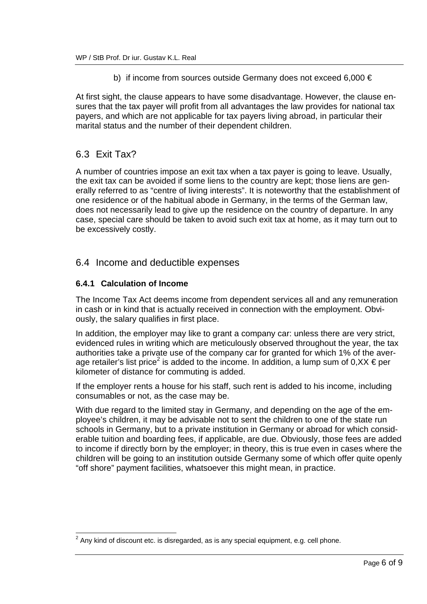b) if income from sources outside Germany does not exceed 6,000  $\in$ 

At first sight, the clause appears to have some disadvantage. However, the clause ensures that the tax payer will profit from all advantages the law provides for national tax payers, and which are not applicable for tax payers living abroad, in particular their marital status and the number of their dependent children.

## 6.3 Exit Tax?

-

A number of countries impose an exit tax when a tax payer is going to leave. Usually, the exit tax can be avoided if some liens to the country are kept; those liens are generally referred to as "centre of living interests". It is noteworthy that the establishment of one residence or of the habitual abode in Germany, in the terms of the German law, does not necessarily lead to give up the residence on the country of departure. In any case, special care should be taken to avoid such exit tax at home, as it may turn out to be excessively costly.

### 6.4 Income and deductible expenses

#### **6.4.1 Calculation of Income**

The Income Tax Act deems income from dependent services all and any remuneration in cash or in kind that is actually received in connection with the employment. Obviously, the salary qualifies in first place.

In addition, the employer may like to grant a company car: unless there are very strict, evidenced rules in writing which are meticulously observed throughout the year, the tax authorities take a private use of the company car for granted for which 1% of the average retailer's list price<sup>2</sup> is added to the income. In addition, a lump sum of 0,XX  $\epsilon$  per kilometer of distance for commuting is added.

If the employer rents a house for his staff, such rent is added to his income, including consumables or not, as the case may be.

With due regard to the limited stay in Germany, and depending on the age of the employee's children, it may be advisable not to sent the children to one of the state run schools in Germany, but to a private institution in Germany or abroad for which considerable tuition and boarding fees, if applicable, are due. Obviously, those fees are added to income if directly born by the employer; in theory, this is true even in cases where the children will be going to an institution outside Germany some of which offer quite openly "off shore" payment facilities, whatsoever this might mean, in practice.

 $^{2}$  Any kind of discount etc. is disregarded, as is any special equipment, e.g. cell phone.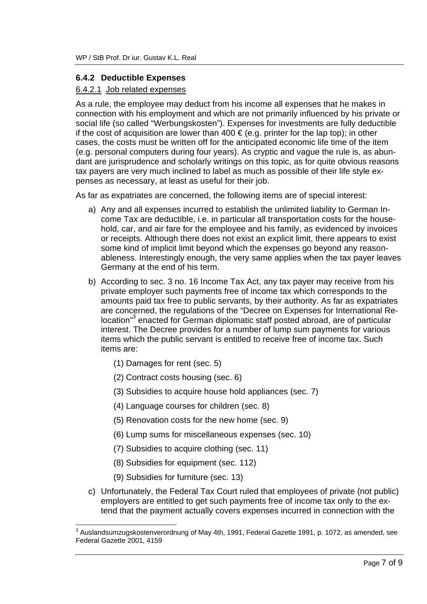#### **6.4.2 Deductible Expenses**

#### 6.4.2.1 Job related expenses

As a rule, the employee may deduct from his income all expenses that he makes in connection with his employment and which are not primarily influenced by his private or social life (so called "Werbungskosten"). Expenses for investments are fully deductible if the cost of acquisition are lower than 400  $\in$  (e.g. printer for the lap top); in other cases, the costs must be written off for the anticipated economic life time of the item (e.g. personal computers during four years). As cryptic and vague the rule is, as abundant are jurisprudence and scholarly writings on this topic, as for quite obvious reasons tax payers are very much inclined to label as much as possible of their life style expenses as necessary, at least as useful for their job.

As far as expatriates are concerned, the following items are of special interest:

- a) Any and all expenses incurred to establish the unlimited liability to German Income Tax are deductible, i.e. in particular all transportation costs for the household, car, and air fare for the employee and his family, as evidenced by invoices or receipts. Although there does not exist an explicit limit, there appears to exist some kind of implicit limit beyond which the expenses go beyond any reasonableness. Interestingly enough, the very same applies when the tax payer leaves Germany at the end of his term.
- b) According to sec. 3 no. 16 Income Tax Act, any tax payer may receive from his private employer such payments free of income tax which corresponds to the amounts paid tax free to public servants, by their authority. As far as expatriates are concerned, the regulations of the "Decree on Expenses for International Relocation"<sup>3</sup> enacted for German diplomatic staff posted abroad, are of particular interest. The Decree provides for a number of lump sum payments for various items which the public servant is entitled to receive free of income tax. Such items are:
	- (1) Damages for rent (sec. 5)
	- (2) Contract costs housing (sec. 6)
	- (3) Subsidies to acquire house hold appliances (sec. 7)
	- (4) Language courses for children (sec. 8)
	- (5) Renovation costs for the new home (sec. 9)
	- (6) Lump sums for miscellaneous expenses (sec. 10)
	- (7) Subsidies to acquire clothing (sec. 11)
	- (8) Subsidies for equipment (sec. 112)
	- (9) Subsidies for furniture (sec. 13)

-

c) Unfortunately, the Federal Tax Court ruled that employees of private (not public) employers are entitled to get such payments free of income tax only to the extend that the payment actually covers expenses incurred in connection with the

 $^{\rm 3}$  Auslandsumzugskostenverordnung of May 4th, 1991, Federal Gazette 1991, p. 1072, as amended, see Federal Gazette 2001, 4159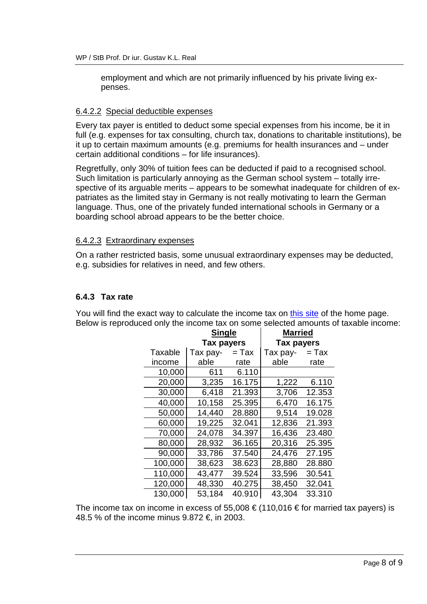employment and which are not primarily influenced by his private living expenses.

#### 6.4.2.2 Special deductible expenses

Every tax payer is entitled to deduct some special expenses from his income, be it in full (e.g. expenses for tax consulting, church tax, donations to charitable institutions), be it up to certain maximum amounts (e.g. premiums for health insurances and – under certain additional conditions – for life insurances).

Regretfully, only 30% of tuition fees can be deducted if paid to a recognised school. Such limitation is particularly annoying as the German school system – totally irrespective of its arguable merits – appears to be somewhat inadequate for children of expatriates as the limited stay in Germany is not really motivating to learn the German language. Thus, one of the privately funded international schools in Germany or a boarding school abroad appears to be the better choice.

#### 6.4.2.3 Extraordinary expenses

On a rather restricted basis, some unusual extraordinary expenses may be deducted, e.g. subsidies for relatives in need, and few others.

#### **6.4.3 Tax rate**

You will find the exact way to calculate the income tax on this site of the home page. Below is reproduced only the income tax on some selected amounts of taxable income:

| <b>Single</b> |                   | <b>Married</b> |                   |         |
|---------------|-------------------|----------------|-------------------|---------|
|               | <b>Tax payers</b> |                | <b>Tax payers</b> |         |
| Taxable       | Tax pay-          | = Tax          | Tax pay-          | $=$ Tax |
| income        | able              | rate           | able              | rate    |
| 10,000        | 611               | 6.110          |                   |         |
| 20,000        | 3,235             | 16.175         | 1,222             | 6.110   |
| 30,000        | 6,418             | 21.393         | 3,706             | 12.353  |
| 40,000        | 10,158            | 25.395         | 6,470             | 16.175  |
| 50,000        | 14,440            | 28.880         | 9,514             | 19.028  |
| 60,000        | 19,225            | 32.041         | 12,836            | 21.393  |
| 70,000        | 24,078            | 34.397         | 16,436            | 23.480  |
| 80,000        | 28,932            | 36.165         | 20,316            | 25.395  |
| 90,000        | 33,786            | 37.540         | 24,476            | 27.195  |
| 100,000       | 38,623            | 38.623         | 28,880            | 28.880  |
| 110,000       | 43,477            | 39.524         | 33,596            | 30.541  |
| 120,000       | 48,330            | 40.275         | 38,450            | 32.041  |
| 130,000       | 53,184            | 40.910         | 43,304            | 33.310  |

The income tax on income in excess of 55,008  $\epsilon$  (110,016  $\epsilon$  for married tax payers) is 48.5 % of the income minus 9.872 €, in 2003.